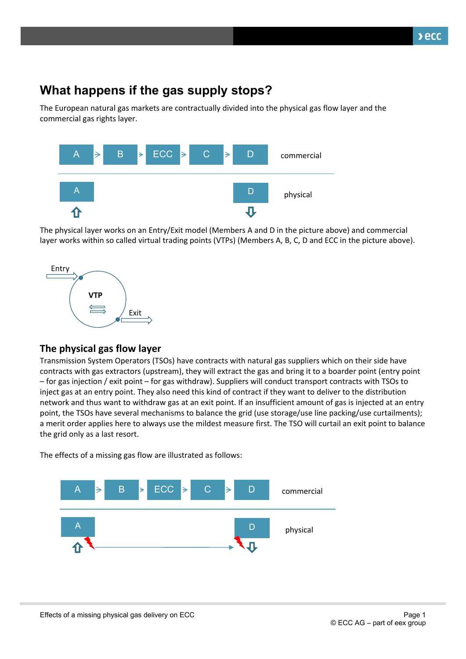## **What happens if the gas supply stops?**

The European natural gas markets are contractually divided into the physical gas flow layer and the commercial gas rights layer.



The physical layer works on an Entry/Exit model (Members A and D in the picture above) and commercial layer works within so called virtual trading points (VTPs) (Members A, B, C, D and ECC in the picture above).



## **The physical gas flow layer**

Transmission System Operators (TSOs) have contracts with natural gas suppliers which on their side have contracts with gas extractors (upstream), they will extract the gas and bring it to a boarder point (entry point – for gas injection / exit point – for gas withdraw). Suppliers will conduct transport contracts with TSOs to inject gas at an entry point. They also need this kind of contract if they want to deliver to the distribution network and thus want to withdraw gas at an exit point. If an insufficient amount of gas is injected at an entry point, the TSOs have several mechanisms to balance the grid (use storage/use line packing/use curtailments); a merit order applies here to always use the mildest measure first. The TSO will curtail an exit point to balance the grid only as a last resort.

The effects of a missing gas flow are illustrated as follows: